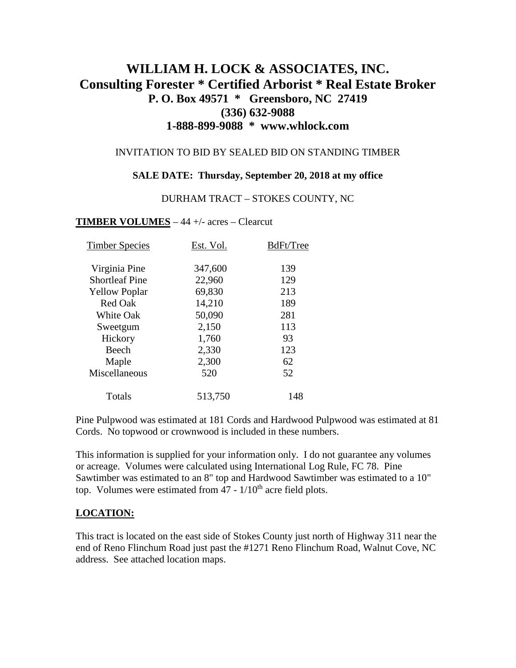# **WILLIAM H. LOCK & ASSOCIATES, INC. Consulting Forester \* Certified Arborist \* Real Estate Broker P. O. Box 49571 \* Greensboro, NC 27419 (336) 632-9088 1-888-899-9088 \* www.whlock.com**

#### INVITATION TO BID BY SEALED BID ON STANDING TIMBER

### **SALE DATE: Thursday, September 20, 2018 at my office**

#### DURHAM TRACT – STOKES COUNTY, NC

### **TIMBER VOLUMES** – 44 +/- acres – Clearcut

| <b>Timber Species</b> | Est. Vol. | BdFt/Tree |
|-----------------------|-----------|-----------|
| Virginia Pine         | 347,600   | 139       |
| <b>Shortleaf Pine</b> | 22,960    | 129       |
| <b>Yellow Poplar</b>  | 69,830    | 213       |
| <b>Red Oak</b>        | 14,210    | 189       |
| <b>White Oak</b>      | 50,090    | 281       |
| Sweetgum              | 2,150     | 113       |
| Hickory               | 1,760     | 93        |
| Beech                 | 2,330     | 123       |
| Maple                 | 2,300     | 62        |
| Miscellaneous         | 520       | 52        |
| Totals                | 513,750   | 148       |

Pine Pulpwood was estimated at 181 Cords and Hardwood Pulpwood was estimated at 81 Cords. No topwood or crownwood is included in these numbers.

This information is supplied for your information only. I do not guarantee any volumes or acreage. Volumes were calculated using International Log Rule, FC 78. Pine Sawtimber was estimated to an 8" top and Hardwood Sawtimber was estimated to a 10" top. Volumes were estimated from  $47 - 1/10$ <sup>th</sup> acre field plots.

### **LOCATION:**

This tract is located on the east side of Stokes County just north of Highway 311 near the end of Reno Flinchum Road just past the #1271 Reno Flinchum Road, Walnut Cove, NC address. See attached location maps.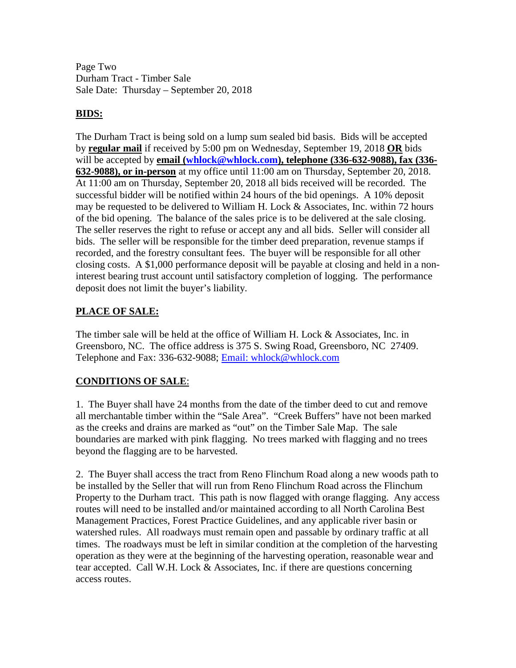Page Two Durham Tract - Timber Sale Sale Date: Thursday – September 20, 2018

## **BIDS:**

The Durham Tract is being sold on a lump sum sealed bid basis. Bids will be accepted by **regular mail** if received by 5:00 pm on Wednesday, September 19, 2018 **OR** bids will be accepted by **email [\(whlock@whlock.com\)](mailto:whlock@whlock.com), telephone (336-632-9088), fax (336- 632-9088), or in-person** at my office until 11:00 am on Thursday, September 20, 2018. At 11:00 am on Thursday, September 20, 2018 all bids received will be recorded. The successful bidder will be notified within 24 hours of the bid openings. A 10% deposit may be requested to be delivered to William H. Lock & Associates, Inc. within 72 hours of the bid opening. The balance of the sales price is to be delivered at the sale closing. The seller reserves the right to refuse or accept any and all bids. Seller will consider all bids. The seller will be responsible for the timber deed preparation, revenue stamps if recorded, and the forestry consultant fees. The buyer will be responsible for all other closing costs. A \$1,000 performance deposit will be payable at closing and held in a noninterest bearing trust account until satisfactory completion of logging. The performance deposit does not limit the buyer's liability.

## **PLACE OF SALE:**

The timber sale will be held at the office of William H. Lock & Associates, Inc. in Greensboro, NC. The office address is 375 S. Swing Road, Greensboro, NC 27409. Telephone and Fax: 336-632-9088; [Email: whlock@whlock.com](mailto:Email:%20whlock@whlock.com) 

# **CONDITIONS OF SALE**:

1. The Buyer shall have 24 months from the date of the timber deed to cut and remove all merchantable timber within the "Sale Area". "Creek Buffers" have not been marked as the creeks and drains are marked as "out" on the Timber Sale Map. The sale boundaries are marked with pink flagging. No trees marked with flagging and no trees beyond the flagging are to be harvested.

2. The Buyer shall access the tract from Reno Flinchum Road along a new woods path to be installed by the Seller that will run from Reno Flinchum Road across the Flinchum Property to the Durham tract. This path is now flagged with orange flagging. Any access routes will need to be installed and/or maintained according to all North Carolina Best Management Practices, Forest Practice Guidelines, and any applicable river basin or watershed rules. All roadways must remain open and passable by ordinary traffic at all times. The roadways must be left in similar condition at the completion of the harvesting operation as they were at the beginning of the harvesting operation, reasonable wear and tear accepted. Call W.H. Lock & Associates, Inc. if there are questions concerning access routes.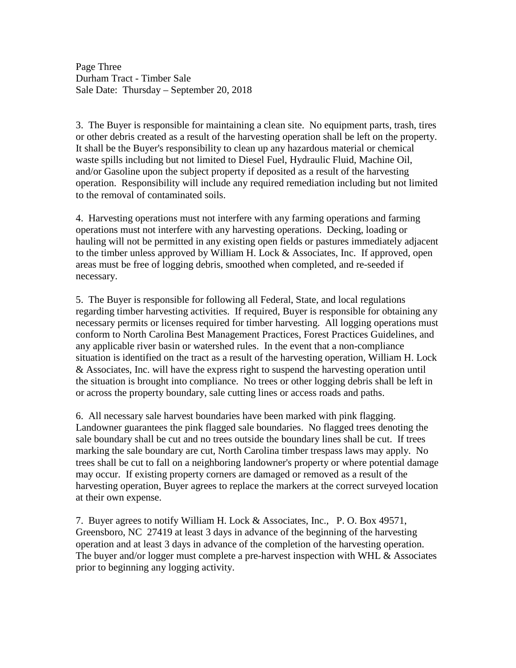Page Three Durham Tract - Timber Sale Sale Date: Thursday – September 20, 2018

3. The Buyer is responsible for maintaining a clean site. No equipment parts, trash, tires or other debris created as a result of the harvesting operation shall be left on the property. It shall be the Buyer's responsibility to clean up any hazardous material or chemical waste spills including but not limited to Diesel Fuel, Hydraulic Fluid, Machine Oil, and/or Gasoline upon the subject property if deposited as a result of the harvesting operation. Responsibility will include any required remediation including but not limited to the removal of contaminated soils.

4. Harvesting operations must not interfere with any farming operations and farming operations must not interfere with any harvesting operations. Decking, loading or hauling will not be permitted in any existing open fields or pastures immediately adjacent to the timber unless approved by William H. Lock & Associates, Inc. If approved, open areas must be free of logging debris, smoothed when completed, and re-seeded if necessary.

5. The Buyer is responsible for following all Federal, State, and local regulations regarding timber harvesting activities. If required, Buyer is responsible for obtaining any necessary permits or licenses required for timber harvesting. All logging operations must conform to North Carolina Best Management Practices, Forest Practices Guidelines, and any applicable river basin or watershed rules. In the event that a non-compliance situation is identified on the tract as a result of the harvesting operation, William H. Lock & Associates, Inc. will have the express right to suspend the harvesting operation until the situation is brought into compliance. No trees or other logging debris shall be left in or across the property boundary, sale cutting lines or access roads and paths.

6. All necessary sale harvest boundaries have been marked with pink flagging. Landowner guarantees the pink flagged sale boundaries. No flagged trees denoting the sale boundary shall be cut and no trees outside the boundary lines shall be cut. If trees marking the sale boundary are cut, North Carolina timber trespass laws may apply. No trees shall be cut to fall on a neighboring landowner's property or where potential damage may occur. If existing property corners are damaged or removed as a result of the harvesting operation, Buyer agrees to replace the markers at the correct surveyed location at their own expense.

7. Buyer agrees to notify William H. Lock & Associates, Inc., P. O. Box 49571, Greensboro, NC 27419 at least 3 days in advance of the beginning of the harvesting operation and at least 3 days in advance of the completion of the harvesting operation. The buyer and/or logger must complete a pre-harvest inspection with WHL & Associates prior to beginning any logging activity.